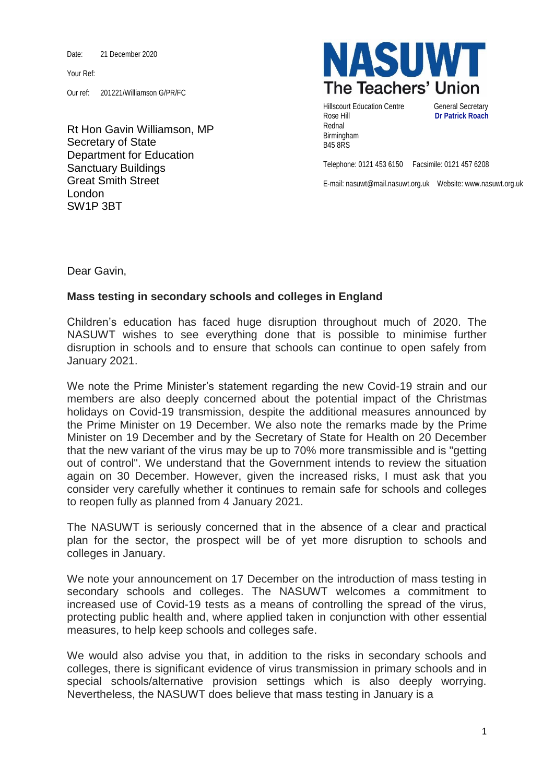Date: 21 December 2020

Your Ref:

Our ref: 201221/Williamson G/PR/FC

Rt Hon Gavin Williamson, MP Secretary of State Department for Education Sanctuary Buildings Great Smith Street London SW1P 3BT



Hillscourt Education Centre **General Secretary** Rose Hill **Dr Patrick Roach** Rednal Birmingham B45 8RS

Telephone: 0121 453 6150 Facsimile: 0121 457 6208

E-mail: nasuwt@mail.nasuwt.org.uk Website: www.nasuwt.org.uk

Dear Gavin,

## **Mass testing in secondary schools and colleges in England**

Children's education has faced huge disruption throughout much of 2020. The NASUWT wishes to see everything done that is possible to minimise further disruption in schools and to ensure that schools can continue to open safely from January 2021.

We note the Prime Minister's statement regarding the new Covid-19 strain and our members are also deeply concerned about the potential impact of the Christmas holidays on Covid-19 transmission, despite the additional measures announced by the Prime Minister on 19 December. We also note the remarks made by the Prime Minister on 19 December and by the Secretary of State for Health on 20 December that the new variant of the virus [may be up to 70% more transmissible](https://www.bbc.co.uk/news/health-55388846) and is "getting out of control". We understand that the Government intends to review the situation again on 30 December. However, given the increased risks, I must ask that you consider very carefully whether it continues to remain safe for schools and colleges to reopen fully as planned from 4 January 2021.

The NASUWT is seriously concerned that in the absence of a clear and practical plan for the sector, the prospect will be of yet more disruption to schools and colleges in January.

We note your announcement on 17 December on the introduction of mass testing in secondary schools and colleges. The NASUWT welcomes a commitment to increased use of Covid-19 tests as a means of controlling the spread of the virus, protecting public health and, where applied taken in conjunction with other essential measures, to help keep schools and colleges safe.

We would also advise you that, in addition to the risks in secondary schools and colleges, there is significant evidence of virus transmission in primary schools and in special schools/alternative provision settings which is also deeply worrying. Nevertheless, the NASUWT does believe that mass testing in January is a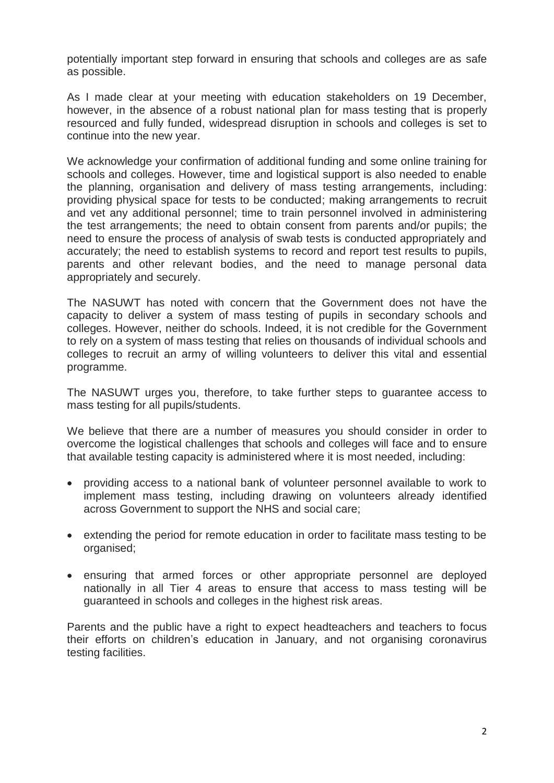potentially important step forward in ensuring that schools and colleges are as safe as possible.

As I made clear at your meeting with education stakeholders on 19 December, however, in the absence of a robust national plan for mass testing that is properly resourced and fully funded, widespread disruption in schools and colleges is set to continue into the new year.

We acknowledge your confirmation of additional funding and some online training for schools and colleges. However, time and logistical support is also needed to enable the planning, organisation and delivery of mass testing arrangements, including: providing physical space for tests to be conducted; making arrangements to recruit and vet any additional personnel; time to train personnel involved in administering the test arrangements; the need to obtain consent from parents and/or pupils; the need to ensure the process of analysis of swab tests is conducted appropriately and accurately; the need to establish systems to record and report test results to pupils, parents and other relevant bodies, and the need to manage personal data appropriately and securely.

The NASUWT has noted with concern that the Government does not have the capacity to deliver a system of mass testing of pupils in secondary schools and colleges. However, neither do schools. Indeed, it is not credible for the Government to rely on a system of mass testing that relies on thousands of individual schools and colleges to recruit an army of willing volunteers to deliver this vital and essential programme.

The NASUWT urges you, therefore, to take further steps to guarantee access to mass testing for all pupils/students.

We believe that there are a number of measures you should consider in order to overcome the logistical challenges that schools and colleges will face and to ensure that available testing capacity is administered where it is most needed, including:

- providing access to a national bank of volunteer personnel available to work to implement mass testing, including drawing on volunteers already identified across Government to support the NHS and social care;
- extending the period for remote education in order to facilitate mass testing to be organised;
- ensuring that armed forces or other appropriate personnel are deployed nationally in all Tier 4 areas to ensure that access to mass testing will be guaranteed in schools and colleges in the highest risk areas.

Parents and the public have a right to expect headteachers and teachers to focus their efforts on children's education in January, and not organising coronavirus testing facilities.